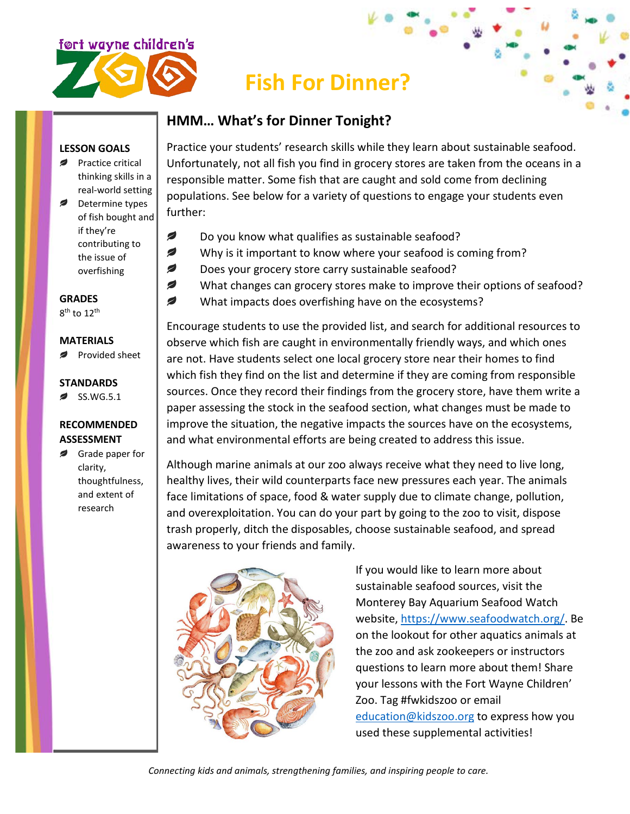

# **Fish For Dinner?**

# **HMM… What's for Dinner Tonight?**

## **LESSON GOALS**

**Practice critical** thinking skills in a real-world setting Determine types of fish bought and if they're contributing to the issue of overfishing

#### **GRADES**

8<sup>th</sup> to 12<sup>th</sup>

#### **MATERIALS**

Provided sheet

#### **STANDARDS**

SS.WG.5.1

## **RECOMMENDED ASSESSMENT**

Grade paper for clarity, thoughtfulness, and extent of research

Practice your students' research skills while they learn about sustainable seafood. Unfortunately, not all fish you find in grocery stores are taken from the oceans in a responsible matter. Some fish that are caught and sold come from declining populations. See below for a variety of questions to engage your students even further:

- Ø Do you know what qualifies as sustainable seafood?
- ✍ Why is it important to know where your seafood is coming from?
- ✍ Does your grocery store carry sustainable seafood?
- ✍ What changes can grocery stores make to improve their options of seafood?
- Ø What impacts does overfishing have on the ecosystems?

Encourage students to use the provided list, and search for additional resources to observe which fish are caught in environmentally friendly ways, and which ones are not. Have students select one local grocery store near their homes to find which fish they find on the list and determine if they are coming from responsible sources. Once they record their findings from the grocery store, have them write a paper assessing the stock in the seafood section, what changes must be made to improve the situation, the negative impacts the sources have on the ecosystems, and what environmental efforts are being created to address this issue.

Although marine animals at our zoo always receive what they need to live long, healthy lives, their wild counterparts face new pressures each year. The animals face limitations of space, food & water supply due to climate change, pollution, and overexploitation. You can do your part by going to the zoo to visit, dispose trash properly, ditch the disposables, choose sustainable seafood, and spread awareness to your friends and family.



If you would like to learn more about sustainable seafood sources, visit the Monterey Bay Aquarium Seafood Watch website, [https://www.seafoodwatch.org/.](https://www.seafoodwatch.org/) Be on the lookout for other aquatics animals at the zoo and ask zookeepers or instructors questions to learn more about them! Share your lessons with the Fort Wayne Children' Zoo. Tag #fwkidszoo or email [education@kidszoo.org](mailto:education@kidszoo.org) to express how you used these supplemental activities!

*Connecting kids and animals, strengthening families, and inspiring people to care.*